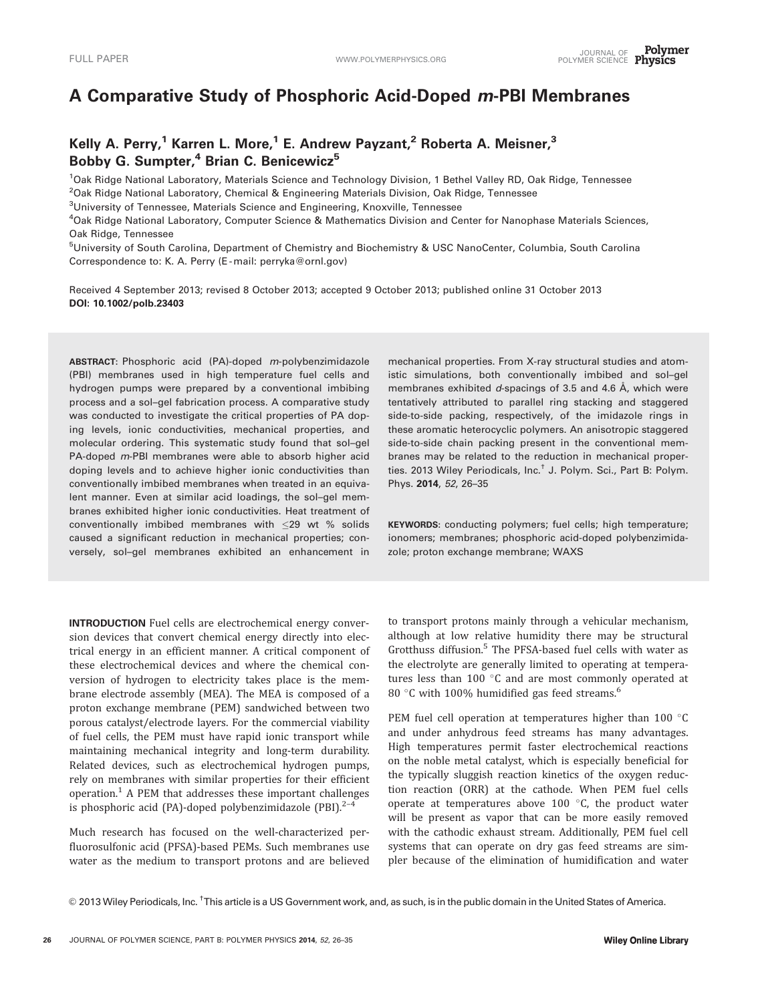# A Comparative Study of Phosphoric Acid-Doped m-PBI Membranes

## Kelly A. Perry,<sup>1</sup> Karren L. More,<sup>1</sup> E. Andrew Payzant,<sup>2</sup> Roberta A. Meisner,<sup>3</sup> Bobby G. Sumpter, $4$  Brian C. Benicewicz<sup>5</sup>

<sup>1</sup>Oak Ridge National Laboratory, Materials Science and Technology Division, 1 Bethel Valley RD, Oak Ridge, Tennessee <sup>2</sup>Oak Ridge National Laboratory, Chemical & Engineering Materials Division, Oak Ridge, Tennessee

<sup>3</sup>University of Tennessee, Materials Science and Engineering, Knoxville, Tennessee

4 Oak Ridge National Laboratory, Computer Science & Mathematics Division and Center for Nanophase Materials Sciences, Oak Ridge, Tennessee

<sup>5</sup>University of South Carolina, Department of Chemistry and Biochemistry & USC NanoCenter, Columbia, South Carolina Correspondence to: K. A. Perry (E-mail: perryka@ornl.gov)

Received 4 September 2013; revised 8 October 2013; accepted 9 October 2013; published online 31 October 2013 DOI: 10.1002/polb.23403

ABSTRACT: Phosphoric acid (PA)-doped m-polybenzimidazole (PBI) membranes used in high temperature fuel cells and hydrogen pumps were prepared by a conventional imbibing process and a sol–gel fabrication process. A comparative study was conducted to investigate the critical properties of PA doping levels, ionic conductivities, mechanical properties, and molecular ordering. This systematic study found that sol–gel PA-doped m-PBI membranes were able to absorb higher acid doping levels and to achieve higher ionic conductivities than conventionally imbibed membranes when treated in an equivalent manner. Even at similar acid loadings, the sol–gel membranes exhibited higher ionic conductivities. Heat treatment of conventionally imbibed membranes with  $\leq$ 29 wt % solids caused a significant reduction in mechanical properties; conversely, sol–gel membranes exhibited an enhancement in

INTRODUCTION Fuel cells are electrochemical energy conversion devices that convert chemical energy directly into electrical energy in an efficient manner. A critical component of these electrochemical devices and where the chemical conversion of hydrogen to electricity takes place is the membrane electrode assembly (MEA). The MEA is composed of a proton exchange membrane (PEM) sandwiched between two porous catalyst/electrode layers. For the commercial viability of fuel cells, the PEM must have rapid ionic transport while maintaining mechanical integrity and long-term durability. Related devices, such as electrochemical hydrogen pumps, rely on membranes with similar properties for their efficient operation.<sup>1</sup> A PEM that addresses these important challenges is phosphoric acid (PA)-doped polybenzimidazole (PBI). $2-4$ 

Much research has focused on the well-characterized perfluorosulfonic acid (PFSA)-based PEMs. Such membranes use water as the medium to transport protons and are believed mechanical properties. From X-ray structural studies and atomistic simulations, both conventionally imbibed and sol–gel membranes exhibited  $d$ -spacings of 3.5 and 4.6  $\AA$ , which were tentatively attributed to parallel ring stacking and staggered side-to-side packing, respectively, of the imidazole rings in these aromatic heterocyclic polymers. An anisotropic staggered side-to-side chain packing present in the conventional membranes may be related to the reduction in mechanical properties. 2013 Wiley Periodicals, Inc.† J. Polym. Sci., Part B: Polym. Phys. 2014, 52, 26–35

KEYWORDS: conducting polymers; fuel cells; high temperature; ionomers; membranes; phosphoric acid-doped polybenzimidazole; proton exchange membrane; WAXS

to transport protons mainly through a vehicular mechanism, although at low relative humidity there may be structural Grotthuss diffusion.<sup>5</sup> The PFSA-based fuel cells with water as the electrolyte are generally limited to operating at temperatures less than  $100\text{ °C}$  and are most commonly operated at 80  $\degree$ C with 100% humidified gas feed streams.<sup>6</sup>

PEM fuel cell operation at temperatures higher than  $100\text{ °C}$ and under anhydrous feed streams has many advantages. High temperatures permit faster electrochemical reactions on the noble metal catalyst, which is especially beneficial for the typically sluggish reaction kinetics of the oxygen reduction reaction (ORR) at the cathode. When PEM fuel cells operate at temperatures above  $100\degree$ C, the product water will be present as vapor that can be more easily removed with the cathodic exhaust stream. Additionally, PEM fuel cell systems that can operate on dry gas feed streams are simpler because of the elimination of humidification and water

<sup>© 2013</sup> Wiley Periodicals, Inc. <sup>†</sup>This article is a US Government work, and, as such, is in the public domain in the United States of America.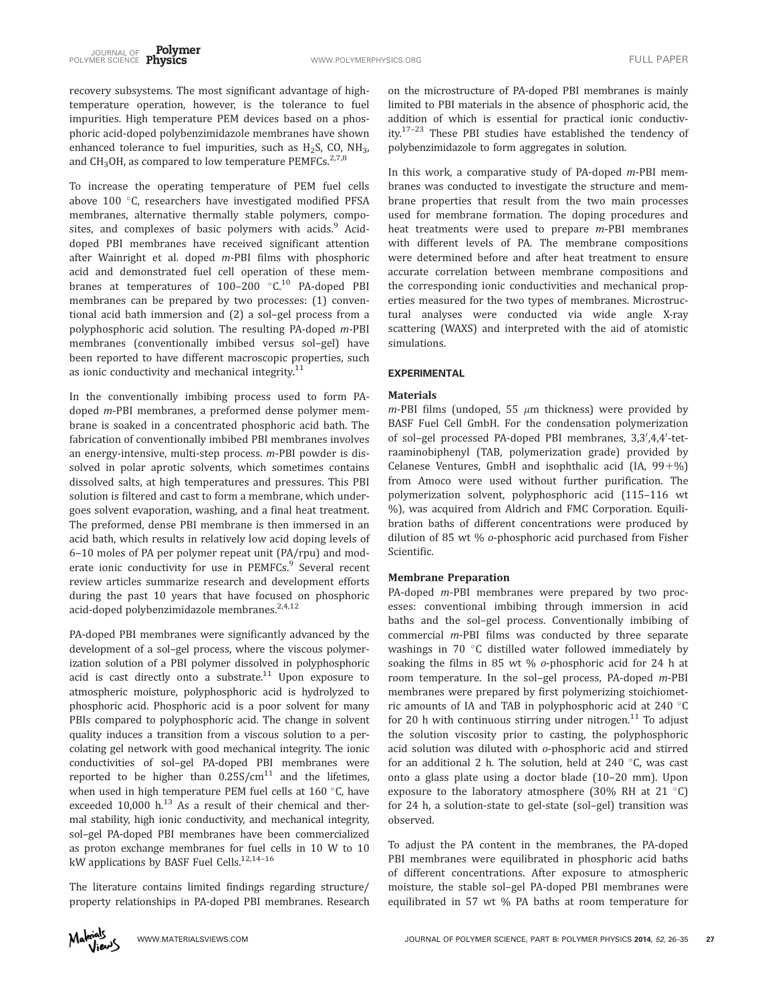recovery subsystems. The most significant advantage of hightemperature operation, however, is the tolerance to fuel impurities. High temperature PEM devices based on a phosphoric acid-doped polybenzimidazole membranes have shown enhanced tolerance to fuel impurities, such as  $H_2S$ , CO, NH<sub>3</sub>, and CH<sub>3</sub>OH, as compared to low temperature PEMFCs.<sup>2,7,8</sup>

To increase the operating temperature of PEM fuel cells above 100 $\degree$ C, researchers have investigated modified PFSA membranes, alternative thermally stable polymers, composites, and complexes of basic polymers with acids.<sup>9</sup> Aciddoped PBI membranes have received significant attention after Wainright et al. doped m-PBI films with phosphoric acid and demonstrated fuel cell operation of these membranes at temperatures of 100-200 °C.<sup>10</sup> PA-doped PBI membranes can be prepared by two processes: (1) conventional acid bath immersion and (2) a sol–gel process from a polyphosphoric acid solution. The resulting PA-doped m-PBI membranes (conventionally imbibed versus sol–gel) have been reported to have different macroscopic properties, such as ionic conductivity and mechanical integrity.<sup>11</sup>

In the conventionally imbibing process used to form PAdoped m-PBI membranes, a preformed dense polymer membrane is soaked in a concentrated phosphoric acid bath. The fabrication of conventionally imbibed PBI membranes involves an energy-intensive, multi-step process. m-PBI powder is dissolved in polar aprotic solvents, which sometimes contains dissolved salts, at high temperatures and pressures. This PBI solution is filtered and cast to form a membrane, which undergoes solvent evaporation, washing, and a final heat treatment. The preformed, dense PBI membrane is then immersed in an acid bath, which results in relatively low acid doping levels of 6–10 moles of PA per polymer repeat unit (PA/rpu) and moderate ionic conductivity for use in PEMFCs.<sup>9</sup> Several recent review articles summarize research and development efforts during the past 10 years that have focused on phosphoric acid-doped polybenzimidazole membranes.<sup>2,4,12</sup>

PA-doped PBI membranes were significantly advanced by the development of a sol–gel process, where the viscous polymerization solution of a PBI polymer dissolved in polyphosphoric acid is cast directly onto a substrate. $11$  Upon exposure to atmospheric moisture, polyphosphoric acid is hydrolyzed to phosphoric acid. Phosphoric acid is a poor solvent for many PBIs compared to polyphosphoric acid. The change in solvent quality induces a transition from a viscous solution to a percolating gel network with good mechanical integrity. The ionic conductivities of sol–gel PA-doped PBI membranes were reported to be higher than  $0.25S/cm^{11}$  and the lifetimes, when used in high temperature PEM fuel cells at  $160^{\circ}$ C, have exceeded 10,000  $h^{13}$  As a result of their chemical and thermal stability, high ionic conductivity, and mechanical integrity, sol–gel PA-doped PBI membranes have been commercialized as proton exchange membranes for fuel cells in 10 W to 10 kW applications by BASF Fuel Cells.<sup>12,14-16</sup>

The literature contains limited findings regarding structure/ property relationships in PA-doped PBI membranes. Research on the microstructure of PA-doped PBI membranes is mainly limited to PBI materials in the absence of phosphoric acid, the addition of which is essential for practical ionic conductivity.<sup>17-23</sup> These PBI studies have established the tendency of polybenzimidazole to form aggregates in solution.

In this work, a comparative study of PA-doped m-PBI membranes was conducted to investigate the structure and membrane properties that result from the two main processes used for membrane formation. The doping procedures and heat treatments were used to prepare m-PBI membranes with different levels of PA. The membrane compositions were determined before and after heat treatment to ensure accurate correlation between membrane compositions and the corresponding ionic conductivities and mechanical properties measured for the two types of membranes. Microstructural analyses were conducted via wide angle X-ray scattering (WAXS) and interpreted with the aid of atomistic simulations.

## EXPERIMENTAL

#### **Materials**

 $m$ -PBI films (undoped, 55  $\mu$ m thickness) were provided by BASF Fuel Cell GmbH. For the condensation polymerization of sol-gel processed PA-doped PBI membranes, 3,3',4,4'-tetraaminobiphenyl (TAB, polymerization grade) provided by Celanese Ventures, GmbH and isophthalic acid  $(IA, 99+%)$ from Amoco were used without further purification. The polymerization solvent, polyphosphoric acid (115–116 wt %), was acquired from Aldrich and FMC Corporation. Equilibration baths of different concentrations were produced by dilution of 85 wt % o-phosphoric acid purchased from Fisher Scientific.

#### Membrane Preparation

PA-doped *m*-PBI membranes were prepared by two processes: conventional imbibing through immersion in acid baths and the sol–gel process. Conventionally imbibing of commercial m-PBI films was conducted by three separate washings in 70 $\degree$ C distilled water followed immediately by soaking the films in 85 wt % o-phosphoric acid for 24 h at room temperature. In the sol–gel process, PA-doped m-PBI membranes were prepared by first polymerizing stoichiometric amounts of IA and TAB in polyphosphoric acid at  $240^{\circ}$ C for 20 h with continuous stirring under nitrogen. $^{11}$  To adjust the solution viscosity prior to casting, the polyphosphoric acid solution was diluted with o-phosphoric acid and stirred for an additional 2 h. The solution, held at 240  $\degree$ C, was cast onto a glass plate using a doctor blade (10–20 mm). Upon exposure to the laboratory atmosphere (30% RH at 21 $\degree$ C) for 24 h, a solution-state to gel-state (sol–gel) transition was observed.

To adjust the PA content in the membranes, the PA-doped PBI membranes were equilibrated in phosphoric acid baths of different concentrations. After exposure to atmospheric moisture, the stable sol–gel PA-doped PBI membranes were equilibrated in 57 wt % PA baths at room temperature for

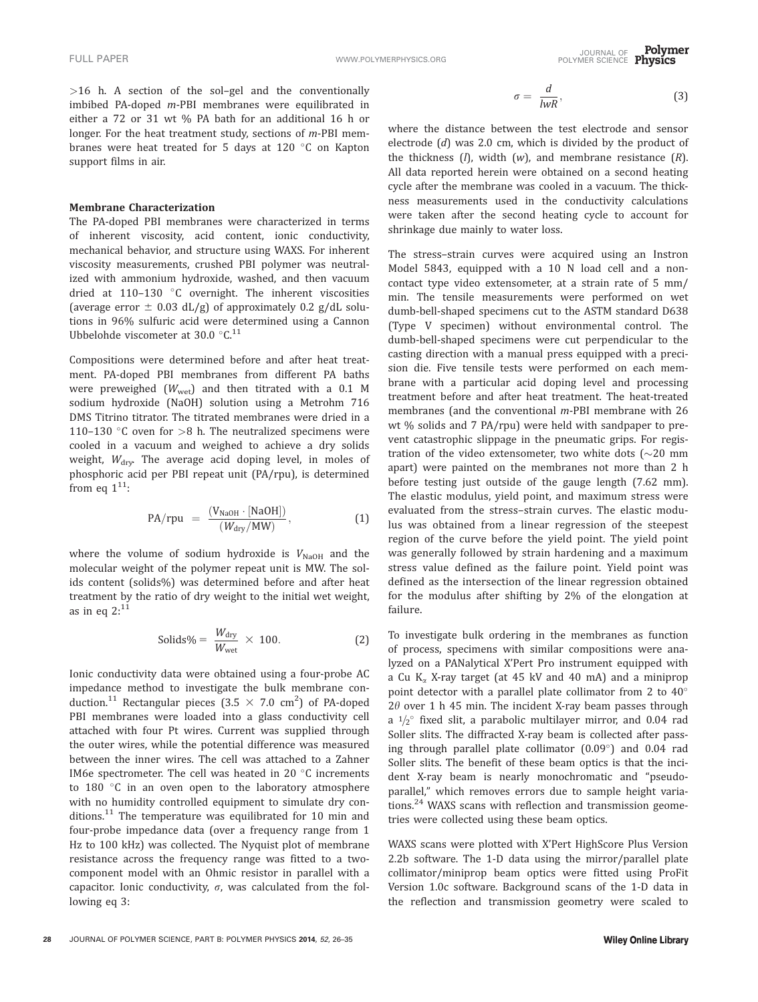>16 h. A section of the sol–gel and the conventionally imbibed PA-doped m-PBI membranes were equilibrated in either a 72 or 31 wt % PA bath for an additional 16 h or longer. For the heat treatment study, sections of m-PBI membranes were heat treated for 5 days at 120 °C on Kapton support films in air.

#### Membrane Characterization

The PA-doped PBI membranes were characterized in terms of inherent viscosity, acid content, ionic conductivity, mechanical behavior, and structure using WAXS. For inherent viscosity measurements, crushed PBI polymer was neutralized with ammonium hydroxide, washed, and then vacuum dried at 110-130  $\degree$ C overnight. The inherent viscosities (average error  $\pm$  0.03 dL/g) of approximately 0.2 g/dL solutions in 96% sulfuric acid were determined using a Cannon Ubbelohde viscometer at 30.0  $\,^{\circ}$ C.<sup>11</sup>

Compositions were determined before and after heat treatment. PA-doped PBI membranes from different PA baths were preweighed  $(W_{wet})$  and then titrated with a 0.1 M sodium hydroxide (NaOH) solution using a Metrohm 716 DMS Titrino titrator. The titrated membranes were dried in a 110–130 °C oven for  $>8$  h. The neutralized specimens were cooled in a vacuum and weighed to achieve a dry solids weight,  $W_{\text{dry}}$  The average acid doping level, in moles of phosphoric acid per PBI repeat unit (PA/rpu), is determined from eq  $1^{11}$ :

$$
PA/rpu = \frac{(V_{NaOH} \cdot [NaOH])}{(W_{dry}/MW)}, \qquad (1)
$$

where the volume of sodium hydroxide is  $V_{\text{NaOH}}$  and the molecular weight of the polymer repeat unit is MW. The solids content (solids%) was determined before and after heat treatment by the ratio of dry weight to the initial wet weight, as in eq  $2:^{11}$ 

$$
Solids\% = \frac{W_{\text{dry}}}{W_{\text{wet}}} \times 100. \tag{2}
$$

Ionic conductivity data were obtained using a four-probe AC impedance method to investigate the bulk membrane conduction.<sup>11</sup> Rectangular pieces (3.5  $\times$  7.0 cm<sup>2</sup>) of PA-doped PBI membranes were loaded into a glass conductivity cell attached with four Pt wires. Current was supplied through the outer wires, while the potential difference was measured between the inner wires. The cell was attached to a Zahner IM6e spectrometer. The cell was heated in 20 $\degree$ C increments to  $180$  °C in an oven open to the laboratory atmosphere with no humidity controlled equipment to simulate dry conditions. $11$  The temperature was equilibrated for 10 min and four-probe impedance data (over a frequency range from 1 Hz to 100 kHz) was collected. The Nyquist plot of membrane resistance across the frequency range was fitted to a twocomponent model with an Ohmic resistor in parallel with a capacitor. Ionic conductivity,  $\sigma$ , was calculated from the following eq 3:

$$
\sigma = \frac{d}{lwR},\tag{3}
$$

where the distance between the test electrode and sensor electrode (d) was 2.0 cm, which is divided by the product of the thickness  $(I)$ , width  $(w)$ , and membrane resistance  $(R)$ . All data reported herein were obtained on a second heating cycle after the membrane was cooled in a vacuum. The thickness measurements used in the conductivity calculations were taken after the second heating cycle to account for shrinkage due mainly to water loss.

The stress–strain curves were acquired using an Instron Model 5843, equipped with a 10 N load cell and a noncontact type video extensometer, at a strain rate of 5 mm/ min. The tensile measurements were performed on wet dumb-bell-shaped specimens cut to the ASTM standard D638 (Type V specimen) without environmental control. The dumb-bell-shaped specimens were cut perpendicular to the casting direction with a manual press equipped with a precision die. Five tensile tests were performed on each membrane with a particular acid doping level and processing treatment before and after heat treatment. The heat-treated membranes (and the conventional m-PBI membrane with 26 wt % solids and 7 PA/rpu) were held with sandpaper to prevent catastrophic slippage in the pneumatic grips. For registration of the video extensometer, two white dots ( $\sim$ 20 mm apart) were painted on the membranes not more than 2 h before testing just outside of the gauge length (7.62 mm). The elastic modulus, yield point, and maximum stress were evaluated from the stress–strain curves. The elastic modulus was obtained from a linear regression of the steepest region of the curve before the yield point. The yield point was generally followed by strain hardening and a maximum stress value defined as the failure point. Yield point was defined as the intersection of the linear regression obtained for the modulus after shifting by 2% of the elongation at failure.

To investigate bulk ordering in the membranes as function of process, specimens with similar compositions were analyzed on a PANalytical X'Pert Pro instrument equipped with a Cu  $K_{\alpha}$  X-ray target (at 45 kV and 40 mA) and a miniprop point detector with a parallel plate collimator from 2 to  $40^{\circ}$  $2\theta$  over 1 h 45 min. The incident X-ray beam passes through a  $1/2^{\circ}$  fixed slit, a parabolic multilayer mirror, and 0.04 rad Soller slits. The diffracted X-ray beam is collected after passing through parallel plate collimator  $(0.09^{\circ})$  and 0.04 rad Soller slits. The benefit of these beam optics is that the incident X-ray beam is nearly monochromatic and "pseudoparallel," which removes errors due to sample height variations.<sup>24</sup> WAXS scans with reflection and transmission geometries were collected using these beam optics.

WAXS scans were plotted with X'Pert HighScore Plus Version 2.2b software. The 1-D data using the mirror/parallel plate collimator/miniprop beam optics were fitted using ProFit Version 1.0c software. Background scans of the 1-D data in the reflection and transmission geometry were scaled to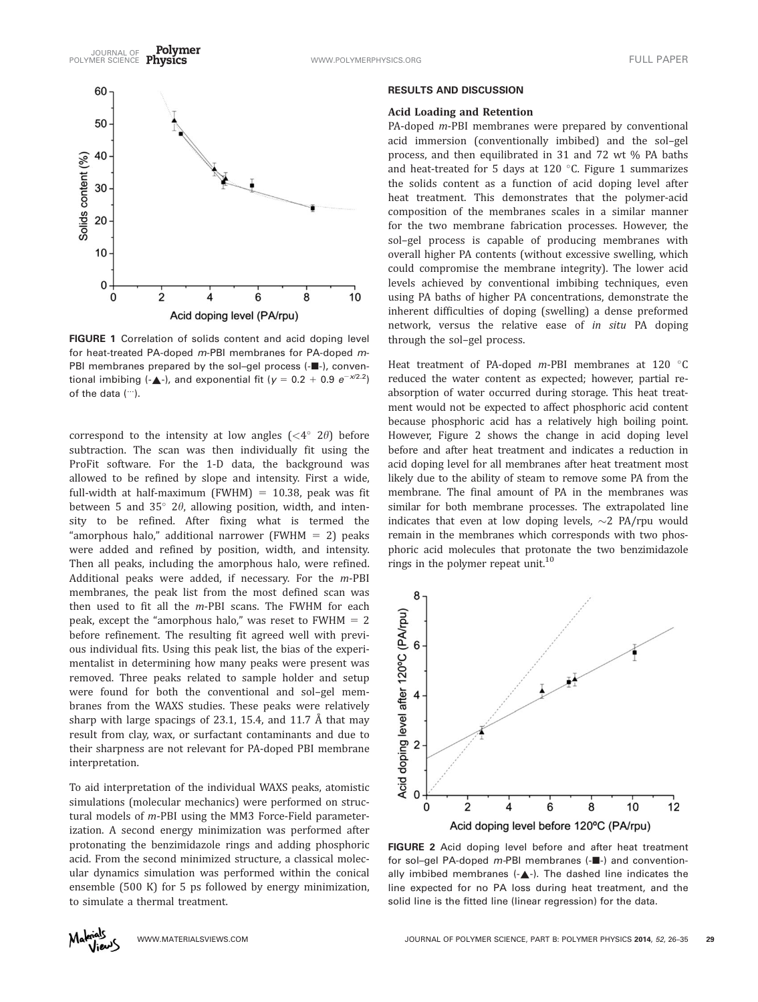

FIGURE 1 Correlation of solids content and acid doping level for heat-treated PA-doped m-PBI membranes for PA-doped m-PBI membranes prepared by the sol-gel process (- $\blacksquare$ -), conventional imbibing (- $\triangle$ -), and exponential fit (y = 0.2 + 0.9  $e^{-x/2.2}$ ) of the data (…).

correspond to the intensity at low angles  $( $4^{\circ}$  2 $\theta$ ) before$ subtraction. The scan was then individually fit using the ProFit software. For the 1-D data, the background was allowed to be refined by slope and intensity. First a wide, full-width at half-maximum (FWHM) =  $10.38$ , peak was fit between 5 and 35 $^{\circ}$  2 $\theta$ , allowing position, width, and intensity to be refined. After fixing what is termed the "amorphous halo," additional narrower (FWHM  $= 2$ ) peaks were added and refined by position, width, and intensity. Then all peaks, including the amorphous halo, were refined. Additional peaks were added, if necessary. For the m-PBI membranes, the peak list from the most defined scan was then used to fit all the m-PBI scans. The FWHM for each peak, except the "amorphous halo," was reset to  $FWHM = 2$ before refinement. The resulting fit agreed well with previous individual fits. Using this peak list, the bias of the experimentalist in determining how many peaks were present was removed. Three peaks related to sample holder and setup were found for both the conventional and sol–gel membranes from the WAXS studies. These peaks were relatively sharp with large spacings of 23.1, 15.4, and 11.7 Å that may result from clay, wax, or surfactant contaminants and due to their sharpness are not relevant for PA-doped PBI membrane interpretation.

To aid interpretation of the individual WAXS peaks, atomistic simulations (molecular mechanics) were performed on structural models of m-PBI using the MM3 Force-Field parameterization. A second energy minimization was performed after protonating the benzimidazole rings and adding phosphoric acid. From the second minimized structure, a classical molecular dynamics simulation was performed within the conical ensemble (500 K) for 5 ps followed by energy minimization, to simulate a thermal treatment.

#### RESULTS AND DISCUSSION

### Acid Loading and Retention

PA-doped m-PBI membranes were prepared by conventional acid immersion (conventionally imbibed) and the sol–gel process, and then equilibrated in 31 and 72 wt % PA baths and heat-treated for 5 days at 120 $\degree$ C. Figure 1 summarizes the solids content as a function of acid doping level after heat treatment. This demonstrates that the polymer-acid composition of the membranes scales in a similar manner for the two membrane fabrication processes. However, the sol–gel process is capable of producing membranes with overall higher PA contents (without excessive swelling, which could compromise the membrane integrity). The lower acid levels achieved by conventional imbibing techniques, even using PA baths of higher PA concentrations, demonstrate the inherent difficulties of doping (swelling) a dense preformed network, versus the relative ease of in situ PA doping through the sol–gel process.

Heat treatment of PA-doped  $m$ -PBI membranes at 120  $^{\circ}$ C reduced the water content as expected; however, partial reabsorption of water occurred during storage. This heat treatment would not be expected to affect phosphoric acid content because phosphoric acid has a relatively high boiling point. However, Figure 2 shows the change in acid doping level before and after heat treatment and indicates a reduction in acid doping level for all membranes after heat treatment most likely due to the ability of steam to remove some PA from the membrane. The final amount of PA in the membranes was similar for both membrane processes. The extrapolated line indicates that even at low doping levels,  $\sim$ 2 PA/rpu would remain in the membranes which corresponds with two phosphoric acid molecules that protonate the two benzimidazole rings in the polymer repeat unit.<sup>10</sup>



FIGURE 2 Acid doping level before and after heat treatment for sol–gel PA-doped *m-*PBI membranes (-**II**-) and conventionally imbibed membranes  $(-\triangle^{-})$ . The dashed line indicates the line expected for no PA loss during heat treatment, and the solid line is the fitted line (linear regression) for the data.

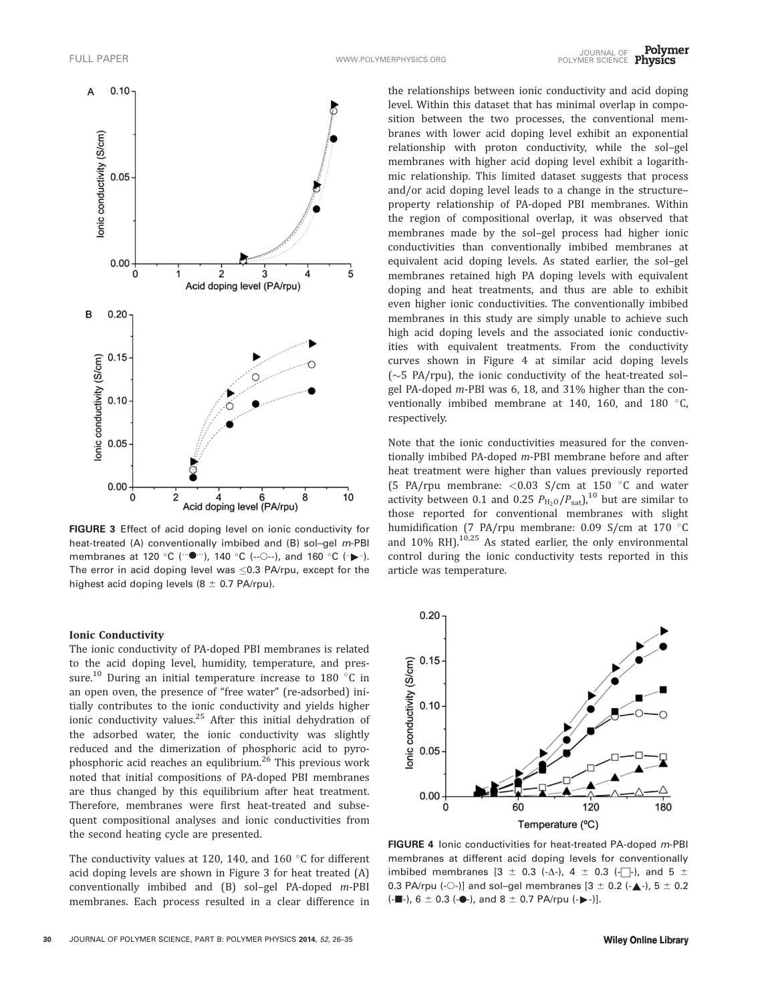

FIGURE 3 Effect of acid doping level on ionic conductivity for heat-treated (A) conventionally imbibed and (B) sol–gel m-PBI membranes at 120 °C ( $\cdots$ •), 140 °C (- $\odot$ -), and 160 °C ( $\rightarrow$ -). The error in acid doping level was  $\leq$ 0.3 PA/rpu, except for the highest acid doping levels ( $8 \pm 0.7$  PA/rpu).

#### Ionic Conductivity

The ionic conductivity of PA-doped PBI membranes is related to the acid doping level, humidity, temperature, and pressure.<sup>10</sup> During an initial temperature increase to 180  $\degree$ C in an open oven, the presence of "free water" (re-adsorbed) initially contributes to the ionic conductivity and yields higher ionic conductivity values.25 After this initial dehydration of the adsorbed water, the ionic conductivity was slightly reduced and the dimerization of phosphoric acid to pyrophosphoric acid reaches an equlibrium.<sup>26</sup> This previous work noted that initial compositions of PA-doped PBI membranes are thus changed by this equilibrium after heat treatment. Therefore, membranes were first heat-treated and subsequent compositional analyses and ionic conductivities from the second heating cycle are presented.

The conductivity values at 120, 140, and 160  $\degree$ C for different acid doping levels are shown in Figure 3 for heat treated (A) conventionally imbibed and (B) sol–gel PA-doped m-PBI membranes. Each process resulted in a clear difference in

the relationships between ionic conductivity and acid doping level. Within this dataset that has minimal overlap in composition between the two processes, the conventional membranes with lower acid doping level exhibit an exponential relationship with proton conductivity, while the sol–gel membranes with higher acid doping level exhibit a logarithmic relationship. This limited dataset suggests that process and/or acid doping level leads to a change in the structure– property relationship of PA-doped PBI membranes. Within the region of compositional overlap, it was observed that membranes made by the sol–gel process had higher ionic conductivities than conventionally imbibed membranes at equivalent acid doping levels. As stated earlier, the sol–gel membranes retained high PA doping levels with equivalent doping and heat treatments, and thus are able to exhibit even higher ionic conductivities. The conventionally imbibed membranes in this study are simply unable to achieve such high acid doping levels and the associated ionic conductivities with equivalent treatments. From the conductivity curves shown in Figure 4 at similar acid doping levels  $({\sim}5$  PA/rpu), the ionic conductivity of the heat-treated solgel PA-doped m-PBI was 6, 18, and 31% higher than the conventionally imbibed membrane at 140, 160, and 180  $\degree$ C, respectively.

Note that the ionic conductivities measured for the conventionally imbibed PA-doped m-PBI membrane before and after heat treatment were higher than values previously reported (5 PA/rpu membrane:  $<$  0.03 S/cm at 150 °C and water activity between 0.1 and 0.25  $P_{\text{H}_2\text{O}}/P_{\text{sat}}$ ,<sup>10</sup> but are similar to those reported for conventional membranes with slight humidification (7 PA/rpu membrane: 0.09 S/cm at 170  $^{\circ}$ C and  $10\%$  RH).<sup>10,25</sup> As stated earlier, the only environmental control during the ionic conductivity tests reported in this article was temperature.



FIGURE 4 Ionic conductivities for heat-treated PA-doped m-PBI membranes at different acid doping levels for conventionally imbibed membranes  $[3 \pm 0.3 \ (-\Delta)$ ,  $4 \pm 0.3 \ (-\Delta)$ , and  $5 \pm 0.3 \ (-\Delta)$ 0.3 PA/rpu (- $\circ$ -)] and sol-gel membranes [3  $\pm$  0.2 (- $\blacktriangle$ -), 5  $\pm$  0.2  $(-\blacksquare$ -), 6 ± 0.3 (- $\lozenge$ -), and 8 ± 0.7 PA/rpu (- $\blacktriangleright$ -)].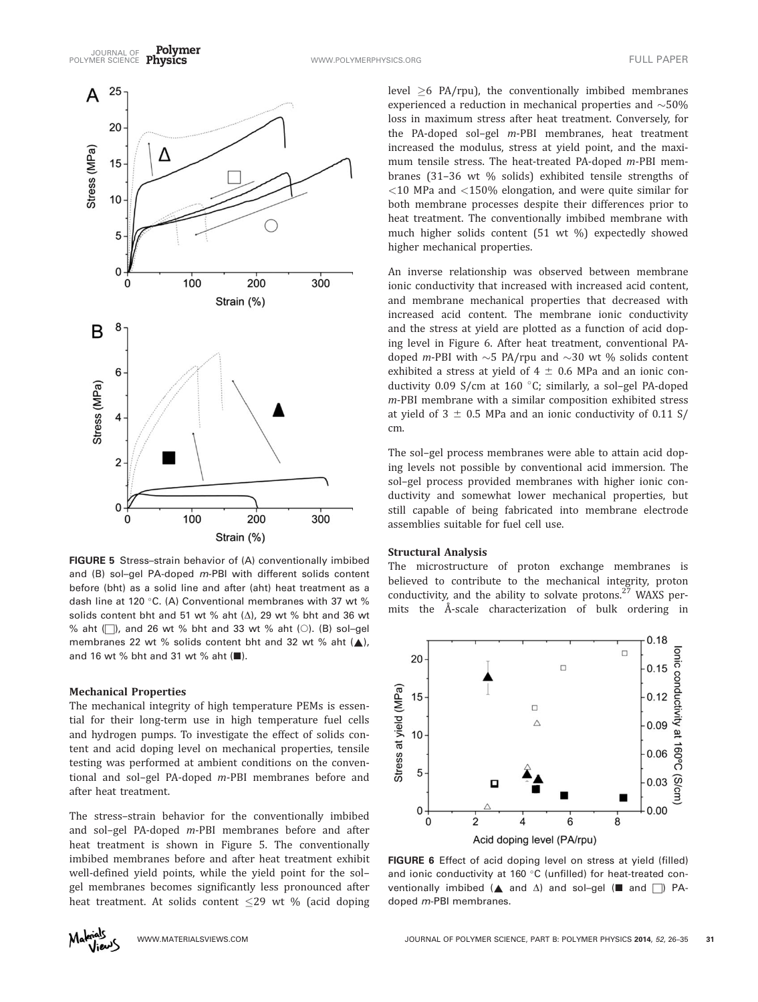

FIGURE 5 Stress–strain behavior of (A) conventionally imbibed and (B) sol-gel PA-doped m-PBI with different solids content before (bht) as a solid line and after (aht) heat treatment as a dash line at 120 °C. (A) Conventional membranes with 37 wt % solids content bht and 51 wt % aht  $(\Delta)$ , 29 wt % bht and 36 wt % aht  $\Box$ ), and 26 wt % bht and 33 wt % aht  $\Diamond$ ). (B) sol-gel membranes 22 wt % solids content bht and 32 wt % aht  $($   $)$ , and 16 wt  $\%$  bht and 31 wt  $\%$  aht ( $\blacksquare$ ).

#### Mechanical Properties

The mechanical integrity of high temperature PEMs is essential for their long-term use in high temperature fuel cells and hydrogen pumps. To investigate the effect of solids content and acid doping level on mechanical properties, tensile testing was performed at ambient conditions on the conventional and sol–gel PA-doped m-PBI membranes before and after heat treatment.

The stress–strain behavior for the conventionally imbibed and sol–gel PA-doped m-PBI membranes before and after heat treatment is shown in Figure 5. The conventionally imbibed membranes before and after heat treatment exhibit well-defined yield points, while the yield point for the sol– gel membranes becomes significantly less pronounced after heat treatment. At solids content  $\leq$ 29 wt % (acid doping

level  $\geq 6$  PA/rpu), the conventionally imbibed membranes experienced a reduction in mechanical properties and  $\sim$ 50% loss in maximum stress after heat treatment. Conversely, for the PA-doped sol–gel m-PBI membranes, heat treatment increased the modulus, stress at yield point, and the maximum tensile stress. The heat-treated PA-doped m-PBI membranes (31–36 wt % solids) exhibited tensile strengths of  $<$ 10 MPa and  $<$ 150% elongation, and were quite similar for both membrane processes despite their differences prior to heat treatment. The conventionally imbibed membrane with much higher solids content (51 wt %) expectedly showed higher mechanical properties.

An inverse relationship was observed between membrane ionic conductivity that increased with increased acid content, and membrane mechanical properties that decreased with increased acid content. The membrane ionic conductivity and the stress at yield are plotted as a function of acid doping level in Figure 6. After heat treatment, conventional PAdoped *m*-PBI with  $\sim$  5 PA/rpu and  $\sim$  30 wt % solids content exhibited a stress at yield of  $4 \pm 0.6$  MPa and an ionic conductivity 0.09 S/cm at 160  $^{\circ}$ C; similarly, a sol-gel PA-doped m-PBI membrane with a similar composition exhibited stress at yield of  $3 \pm 0.5$  MPa and an ionic conductivity of 0.11 S/ cm.

The sol–gel process membranes were able to attain acid doping levels not possible by conventional acid immersion. The sol–gel process provided membranes with higher ionic conductivity and somewhat lower mechanical properties, but still capable of being fabricated into membrane electrode assemblies suitable for fuel cell use.

### Structural Analysis

The microstructure of proton exchange membranes is believed to contribute to the mechanical integrity, proton conductivity, and the ability to solvate protons. $27$  WAXS permits the Å-scale characterization of bulk ordering in



FIGURE 6 Effect of acid doping level on stress at yield (filled) and ionic conductivity at 160 $\degree$ C (unfilled) for heat-treated conventionally imbibed ( $\blacktriangle$  and  $\triangle$ ) and sol-gel ( $\blacksquare$  and  $\Box$ ) PAdoped m-PBI membranes.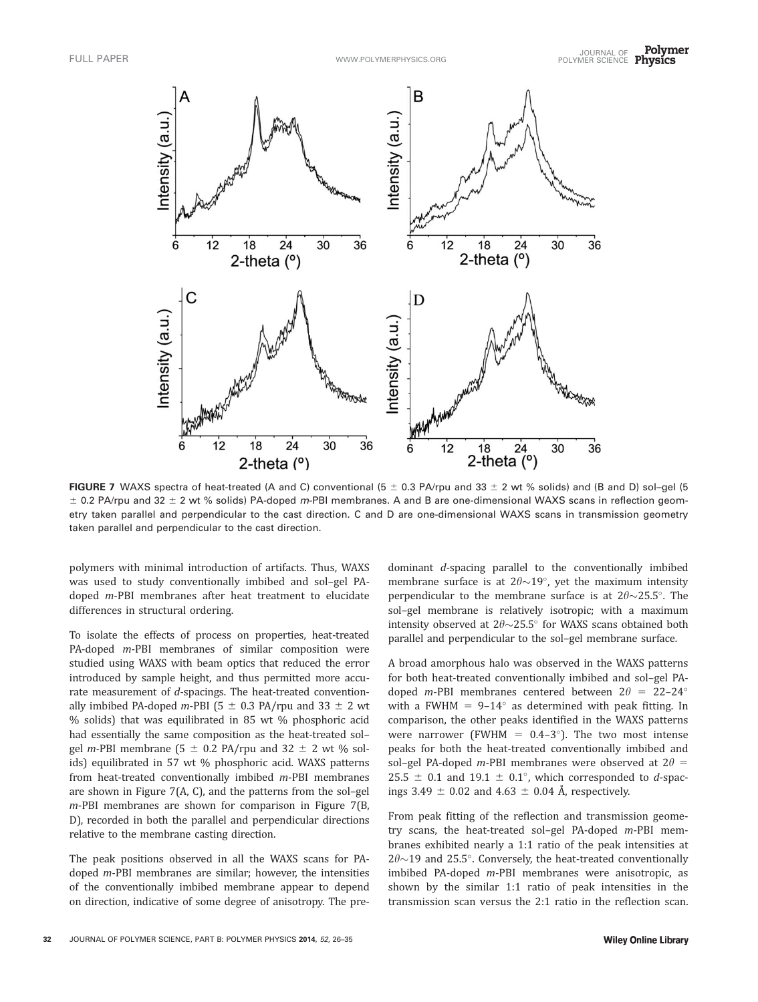

FIGURE 7 WAXS spectra of heat-treated (A and C) conventional (5  $\pm$  0.3 PA/rpu and 33  $\pm$  2 wt % solids) and (B and D) sol-gel (5  $\pm$  0.2 PA/rpu and 32  $\pm$  2 wt % solids) PA-doped m-PBI membranes. A and B are one-dimensional WAXS scans in reflection geometry taken parallel and perpendicular to the cast direction. C and D are one-dimensional WAXS scans in transmission geometry taken parallel and perpendicular to the cast direction.

polymers with minimal introduction of artifacts. Thus, WAXS was used to study conventionally imbibed and sol–gel PAdoped m-PBI membranes after heat treatment to elucidate differences in structural ordering.

To isolate the effects of process on properties, heat-treated PA-doped *m*-PBI membranes of similar composition were studied using WAXS with beam optics that reduced the error introduced by sample height, and thus permitted more accurate measurement of d-spacings. The heat-treated conventionally imbibed PA-doped m-PBI (5  $\pm$  0.3 PA/rpu and 33  $\pm$  2 wt % solids) that was equilibrated in 85 wt % phosphoric acid had essentially the same composition as the heat-treated sol– gel m-PBI membrane (5  $\pm$  0.2 PA/rpu and 32  $\pm$  2 wt % solids) equilibrated in 57 wt % phosphoric acid. WAXS patterns from heat-treated conventionally imbibed m-PBI membranes are shown in Figure 7(A, C), and the patterns from the sol–gel m-PBI membranes are shown for comparison in Figure 7(B, D), recorded in both the parallel and perpendicular directions relative to the membrane casting direction.

The peak positions observed in all the WAXS scans for PAdoped m-PBI membranes are similar; however, the intensities of the conventionally imbibed membrane appear to depend on direction, indicative of some degree of anisotropy. The predominant d-spacing parallel to the conventionally imbibed membrane surface is at  $2\theta \sim 19^{\circ}$ , yet the maximum intensity perpendicular to the membrane surface is at  $2\theta \sim 25.5^{\circ}$ . The sol–gel membrane is relatively isotropic; with a maximum intensity observed at  $2\theta \sim 25.5^\circ$  for WAXS scans obtained both parallel and perpendicular to the sol–gel membrane surface.

A broad amorphous halo was observed in the WAXS patterns for both heat-treated conventionally imbibed and sol–gel PAdoped m-PBI membranes centered between  $2\theta = 22-24^{\circ}$ with a FWHM =  $9-14^\circ$  as determined with peak fitting. In comparison, the other peaks identified in the WAXS patterns were narrower (FWHM =  $0.4-3^{\circ}$ ). The two most intense peaks for both the heat-treated conventionally imbibed and sol–gel PA-doped m-PBI membranes were observed at  $2\theta =$ 25.5  $\pm$  0.1 and 19.1  $\pm$  0.1°, which corresponded to *d*-spacings 3.49  $\pm$  0.02 and 4.63  $\pm$  0.04 Å, respectively.

From peak fitting of the reflection and transmission geometry scans, the heat-treated sol–gel PA-doped m-PBI membranes exhibited nearly a 1:1 ratio of the peak intensities at  $2\theta$ ~19 and 25.5°. Conversely, the heat-treated conventionally imbibed PA-doped m-PBI membranes were anisotropic, as shown by the similar 1:1 ratio of peak intensities in the transmission scan versus the 2:1 ratio in the reflection scan.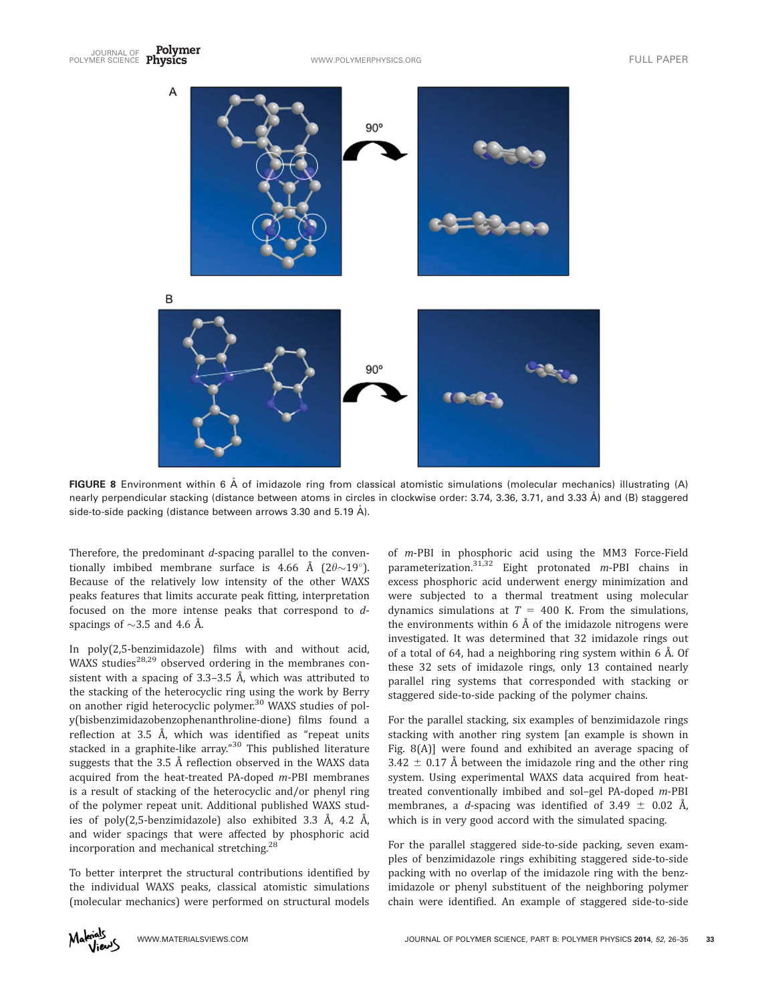

**FIGURE 8** Environment within 6  $\AA$  of imidazole ring from classical atomistic simulations (molecular mechanics) illustrating (A) nearly perpendicular stacking (distance between atoms in circles in clockwise order: 3.74, 3.36, 3.71, and 3.33 Å) and (B) staggered side-to-side packing (distance between arrows 3.30 and 5.19 Å).

Therefore, the predominant d-spacing parallel to the conventionally imbibed membrane surface is 4.66 Å (2 $\theta \sim 19^{\circ}$ ). Because of the relatively low intensity of the other WAXS peaks features that limits accurate peak fitting, interpretation focused on the more intense peaks that correspond to dspacings of  $\sim$ 3.5 and 4.6 Å.

In poly(2,5-benzimidazole) films with and without acid, WAXS studies<sup>28,29</sup> observed ordering in the membranes consistent with a spacing of 3.3–3.5 Å, which was attributed to the stacking of the heterocyclic ring using the work by Berry on another rigid heterocyclic polymer.<sup>30</sup> WAXS studies of poly(bisbenzimidazobenzophenanthroline-dione) films found a reflection at 3.5 Å, which was identified as "repeat units stacked in a graphite-like array."<sup>30</sup> This published literature suggests that the 3.5 Å reflection observed in the WAXS data acquired from the heat-treated PA-doped m-PBI membranes is a result of stacking of the heterocyclic and/or phenyl ring of the polymer repeat unit. Additional published WAXS studies of poly(2,5-benzimidazole) also exhibited 3.3 Å, 4.2 Å, and wider spacings that were affected by phosphoric acid incorporation and mechanical stretching.28

To better interpret the structural contributions identified by the individual WAXS peaks, classical atomistic simulations (molecular mechanics) were performed on structural models of m-PBI in phosphoric acid using the MM3 Force-Field parameterization. $31,32$  Eight protonated *m*-PBI chains in excess phosphoric acid underwent energy minimization and were subjected to a thermal treatment using molecular dynamics simulations at  $T = 400$  K. From the simulations, the environments within 6 Å of the imidazole nitrogens were investigated. It was determined that 32 imidazole rings out of a total of 64, had a neighboring ring system within 6 Å. Of these 32 sets of imidazole rings, only 13 contained nearly parallel ring systems that corresponded with stacking or staggered side-to-side packing of the polymer chains.

For the parallel stacking, six examples of benzimidazole rings stacking with another ring system [an example is shown in Fig. 8(A)] were found and exhibited an average spacing of 3.42  $\pm$  0.17 Å between the imidazole ring and the other ring system. Using experimental WAXS data acquired from heattreated conventionally imbibed and sol–gel PA-doped m-PBI membranes, a d-spacing was identified of 3.49  $\pm$  0.02 Å, which is in very good accord with the simulated spacing.

For the parallel staggered side-to-side packing, seven examples of benzimidazole rings exhibiting staggered side-to-side packing with no overlap of the imidazole ring with the benzimidazole or phenyl substituent of the neighboring polymer chain were identified. An example of staggered side-to-side

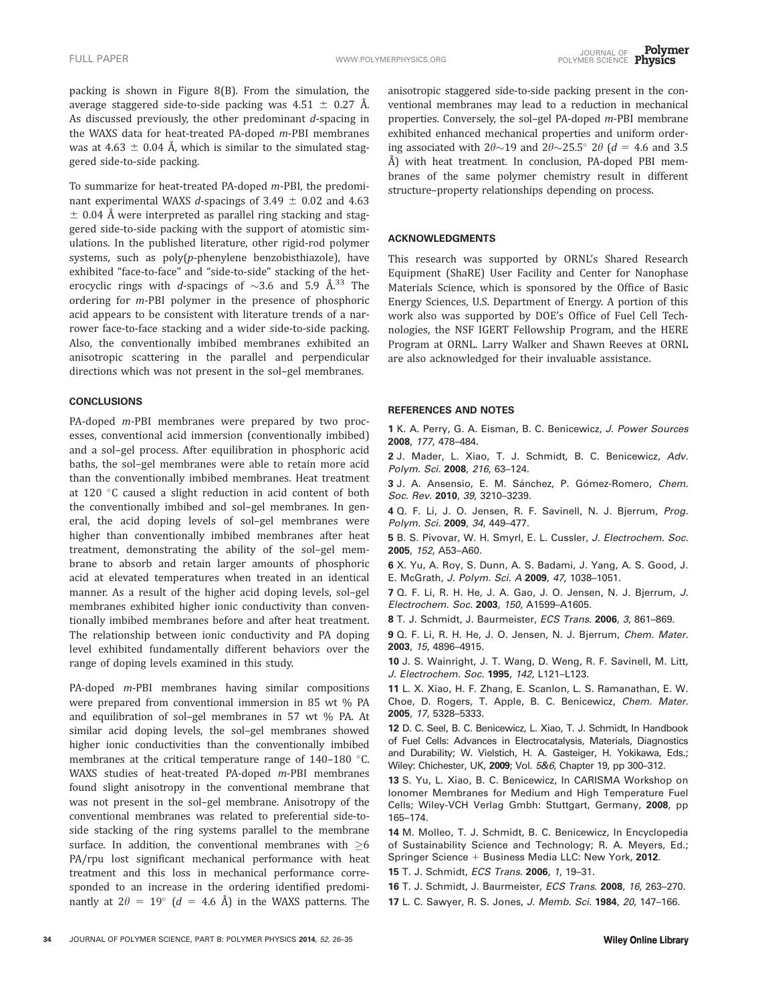packing is shown in Figure 8(B). From the simulation, the average staggered side-to-side packing was  $4.51 \pm 0.27$  Å. As discussed previously, the other predominant d-spacing in the WAXS data for heat-treated PA-doped m-PBI membranes was at 4.63  $\pm$  0.04 Å, which is similar to the simulated staggered side-to-side packing.

To summarize for heat-treated PA-doped m-PBI, the predominant experimental WAXS *d*-spacings of 3.49  $\pm$  0.02 and 4.63  $\pm$  0.04 Å were interpreted as parallel ring stacking and staggered side-to-side packing with the support of atomistic simulations. In the published literature, other rigid-rod polymer systems, such as poly(p-phenylene benzobisthiazole), have exhibited "face-to-face" and "side-to-side" stacking of the heterocyclic rings with d-spacings of  $\sim$ 3.6 and 5.9 Å.<sup>33</sup> The ordering for m-PBI polymer in the presence of phosphoric acid appears to be consistent with literature trends of a narrower face-to-face stacking and a wider side-to-side packing. Also, the conventionally imbibed membranes exhibited an anisotropic scattering in the parallel and perpendicular directions which was not present in the sol–gel membranes.

#### **CONCLUSIONS**

PA-doped m-PBI membranes were prepared by two processes, conventional acid immersion (conventionally imbibed) and a sol–gel process. After equilibration in phosphoric acid baths, the sol–gel membranes were able to retain more acid than the conventionally imbibed membranes. Heat treatment at 120 °C caused a slight reduction in acid content of both the conventionally imbibed and sol–gel membranes. In general, the acid doping levels of sol–gel membranes were higher than conventionally imbibed membranes after heat treatment, demonstrating the ability of the sol–gel membrane to absorb and retain larger amounts of phosphoric acid at elevated temperatures when treated in an identical manner. As a result of the higher acid doping levels, sol–gel membranes exhibited higher ionic conductivity than conventionally imbibed membranes before and after heat treatment. The relationship between ionic conductivity and PA doping level exhibited fundamentally different behaviors over the range of doping levels examined in this study.

PA-doped m-PBI membranes having similar compositions were prepared from conventional immersion in 85 wt % PA and equilibration of sol–gel membranes in 57 wt % PA. At similar acid doping levels, the sol–gel membranes showed higher ionic conductivities than the conventionally imbibed membranes at the critical temperature range of  $140-180$  °C. WAXS studies of heat-treated PA-doped m-PBI membranes found slight anisotropy in the conventional membrane that was not present in the sol–gel membrane. Anisotropy of the conventional membranes was related to preferential side-toside stacking of the ring systems parallel to the membrane surface. In addition, the conventional membranes with  $\geq 6$ PA/rpu lost significant mechanical performance with heat treatment and this loss in mechanical performance corresponded to an increase in the ordering identified predominantly at  $2\theta = 19^{\circ}$  (d = 4.6 Å) in the WAXS patterns. The anisotropic staggered side-to-side packing present in the conventional membranes may lead to a reduction in mechanical properties. Conversely, the sol-gel PA-doped m-PBI membrane exhibited enhanced mechanical properties and uniform ordering associated with  $2\theta{\sim}19$  and  $2\theta{\sim}25.5^{\circ}$  2 $\theta$  (d = 4.6 and 3.5 Å) with heat treatment. In conclusion, PA-doped PBI membranes of the same polymer chemistry result in different structure–property relationships depending on process.

#### ACKNOWLEDGMENTS

This research was supported by ORNL's Shared Research Equipment (ShaRE) User Facility and Center for Nanophase Materials Science, which is sponsored by the Office of Basic Energy Sciences, U.S. Department of Energy. A portion of this work also was supported by DOE's Office of Fuel Cell Technologies, the NSF IGERT Fellowship Program, and the HERE Program at ORNL. Larry Walker and Shawn Reeves at ORNL are also acknowledged for their invaluable assistance.

#### REFERENCES AND NOTES

1 K. A. Perry, G. A. Eisman, B. C. Benicewicz, J. Power Sources 2008, 177, 478–484.

2 J. Mader, L. Xiao, T. J. Schmidt, B. C. Benicewicz, Adv. Polym. Sci. 2008, 216, 63–124.

3 J. A. Ansensio, E. M. Sánchez, P. Gómez-Romero, *Chem.* Soc. Rev. 2010, 39, 3210–3239.

4 Q. F. Li, J. O. Jensen, R. F. Savinell, N. J. Bjerrum, Prog. Polym. Sci. 2009, 34, 449–477.

5 B. S. Pivovar, W. H. Smyrl, E. L. Cussler, J. Electrochem. Soc. 2005, 152, A53–A60.

6 X. Yu, A. Roy, S. Dunn, A. S. Badami, J. Yang, A. S. Good, J. E. McGrath, J. Polym. Sci. A 2009, 47, 1038–1051.

7 Q. F. Li, R. H. He, J. A. Gao, J. O. Jensen, N. J. Bjerrum, J. Electrochem. Soc. 2003, 150, A1599–A1605.

8 T. J. Schmidt, J. Baurmeister, ECS Trans. 2006, 3, 861–869.

9 Q. F. Li, R. H. He, J. O. Jensen, N. J. Bjerrum, Chem. Mater. 2003, 15, 4896–4915.

10 J. S. Wainright, J. T. Wang, D. Weng, R. F. Savinell, M. Litt, J. Electrochem. Soc. 1995, 142, L121-L123.

11 L. X. Xiao, H. F. Zhang, E. Scanlon, L. S. Ramanathan, E. W. Choe, D. Rogers, T. Apple, B. C. Benicewicz, Chem. Mater. 2005, 17, 5328–5333.

12 D. C. Seel, B. C. Benicewicz, L. Xiao, T. J. Schmidt, In Handbook of Fuel Cells: Advances in Electrocatalysis, Materials, Diagnostics and Durability; W. Vielstich, H. A. Gasteiger, H. Yokikawa, Eds.; Wiley: Chichester, UK, 2009; Vol. 5&6, Chapter 19, pp 300-312.

13 S. Yu, L. Xiao, B. C. Benicewicz, In CARISMA Workshop on Ionomer Membranes for Medium and High Temperature Fuel Cells; Wiley-VCH Verlag Gmbh: Stuttgart, Germany, 2008, pp 165–174.

14 M. Molleo, T. J. Schmidt, B. C. Benicewicz, In Encyclopedia of Sustainability Science and Technology; R. A. Meyers, Ed.; Springer Science + Business Media LLC: New York, 2012.

15 T. J. Schmidt, ECS Trans. 2006, 1, 19–31.

16 T. J. Schmidt, J. Baurmeister, ECS Trans. 2008, 16, 263–270.

17 L. C. Sawyer, R. S. Jones, J. Memb. Sci. 1984, 20, 147-166.